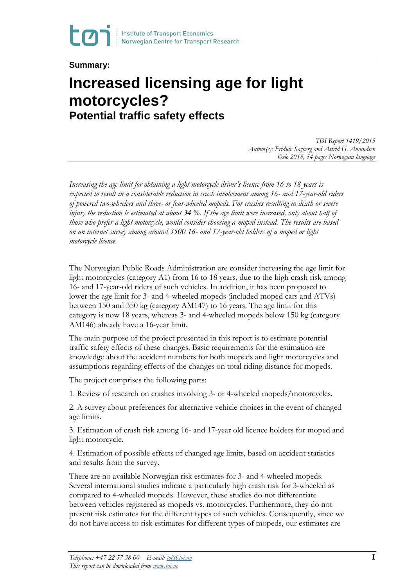**Summary:**

## **Increased licensing age for light motorcycles? Potential traffic safety effects**

*TØI Report 1419/2015 Author(s): Fridulv Sagberg and Astrid H. Amundsen Oslo 2015, 54 pages Norwegian language*

*Increasing the age limit for obtaining a light motorcycle driver's licence from 16 to 18 years is expected to result in a considerable reduction in crash involvement among 16- and 17-year-old riders of powered two-wheelers and three- or four-wheeled mopeds. For crashes resulting in death or severe injury the reduction is estimated at about 34 %. If the age limit were increased, only about half of those who prefer a light motorcycle, would consider choosing a moped instead. The results are based on an internet survey among around 3500 16- and 17-year-old holders of a moped or light motorcycle licence.*

The Norwegian Public Roads Administration are consider increasing the age limit for light motorcycles (category A1) from 16 to 18 years, due to the high crash risk among 16- and 17-year-old riders of such vehicles. In addition, it has been proposed to lower the age limit for 3- and 4-wheeled mopeds (included moped cars and ATVs) between 150 and 350 kg (category AM147) to 16 years. The age limit for this category is now 18 years, whereas 3- and 4-wheeled mopeds below 150 kg (category AM146) already have a 16-year limit.

The main purpose of the project presented in this report is to estimate potential traffic safety effects of these changes. Basic requirements for the estimation are knowledge about the accident numbers for both mopeds and light motorcycles and assumptions regarding effects of the changes on total riding distance for mopeds.

The project comprises the following parts:

1. Review of research on crashes involving 3- or 4-wheeled mopeds/motorcycles.

2. A survey about preferences for alternative vehicle choices in the event of changed age limits.

3. Estimation of crash risk among 16- and 17-year old licence holders for moped and light motorcycle.

4. Estimation of possible effects of changed age limits, based on accident statistics and results from the survey.

There are no available Norwegian risk estimates for 3- and 4-wheeled mopeds. Several international studies indicate a particularly high crash risk for 3-wheeled as compared to 4-wheeled mopeds. However, these studies do not differentiate between vehicles registered as mopeds vs. motorcycles. Furthermore, they do not present risk estimates for the different types of such vehicles. Consequently, since we do not have access to risk estimates for different types of mopeds, our estimates are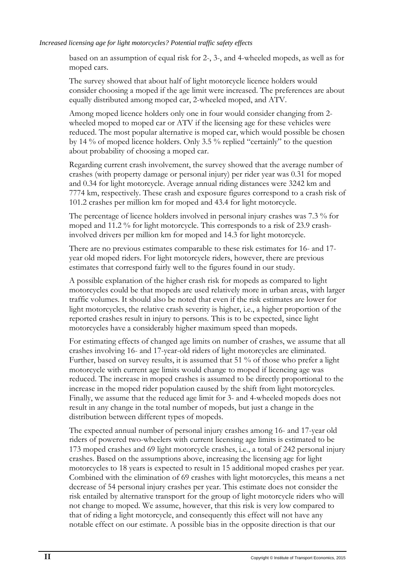## *Increased licensing age for light motorcycles? Potential traffic safety effects*

based on an assumption of equal risk for 2-, 3-, and 4-wheeled mopeds, as well as for moped cars.

The survey showed that about half of light motorcycle licence holders would consider choosing a moped if the age limit were increased. The preferences are about equally distributed among moped car, 2-wheeled moped, and ATV.

Among moped licence holders only one in four would consider changing from 2 wheeled moped to moped car or ATV if the licensing age for these vehicles were reduced. The most popular alternative is moped car, which would possible be chosen by 14 % of moped licence holders. Only 3.5 % replied "certainly" to the question about probability of choosing a moped car.

Regarding current crash involvement, the survey showed that the average number of crashes (with property damage or personal injury) per rider year was 0.31 for moped and 0.34 for light motorcycle. Average annual riding distances were 3242 km and 7774 km, respectively. These crash and exposure figures correspond to a crash risk of 101.2 crashes per million km for moped and 43.4 for light motorcycle.

The percentage of licence holders involved in personal injury crashes was 7.3 % for moped and 11.2 % for light motorcycle. This corresponds to a risk of 23.9 crashinvolved drivers per million km for moped and 14.3 for light motorcycle.

There are no previous estimates comparable to these risk estimates for 16- and 17 year old moped riders. For light motorcycle riders, however, there are previous estimates that correspond fairly well to the figures found in our study.

A possible explanation of the higher crash risk for mopeds as compared to light motorcycles could be that mopeds are used relatively more in urban areas, with larger traffic volumes. It should also be noted that even if the risk estimates are lower for light motorcycles, the relative crash severity is higher, i.e., a higher proportion of the reported crashes result in injury to persons. This is to be expected, since light motorcycles have a considerably higher maximum speed than mopeds.

For estimating effects of changed age limits on number of crashes, we assume that all crashes involving 16- and 17-year-old riders of light motorcycles are eliminated. Further, based on survey results, it is assumed that 51 % of those who prefer a light motorcycle with current age limits would change to moped if licencing age was reduced. The increase in moped crashes is assumed to be directly proportional to the increase in the moped rider population caused by the shift from light motorcycles. Finally, we assume that the reduced age limit for 3- and 4-wheeled mopeds does not result in any change in the total number of mopeds, but just a change in the distribution between different types of mopeds.

The expected annual number of personal injury crashes among 16- and 17-year old riders of powered two-wheelers with current licensing age limits is estimated to be 173 moped crashes and 69 light motorcycle crashes, i.e., a total of 242 personal injury crashes. Based on the assumptions above, increasing the licensing age for light motorcycles to 18 years is expected to result in 15 additional moped crashes per year. Combined with the elimination of 69 crashes with light motorcycles, this means a net decrease of 54 personal injury crashes per year. This estimate does not consider the risk entailed by alternative transport for the group of light motorcycle riders who will not change to moped. We assume, however, that this risk is very low compared to that of riding a light motorcycle, and consequently this effect will not have any notable effect on our estimate. A possible bias in the opposite direction is that our